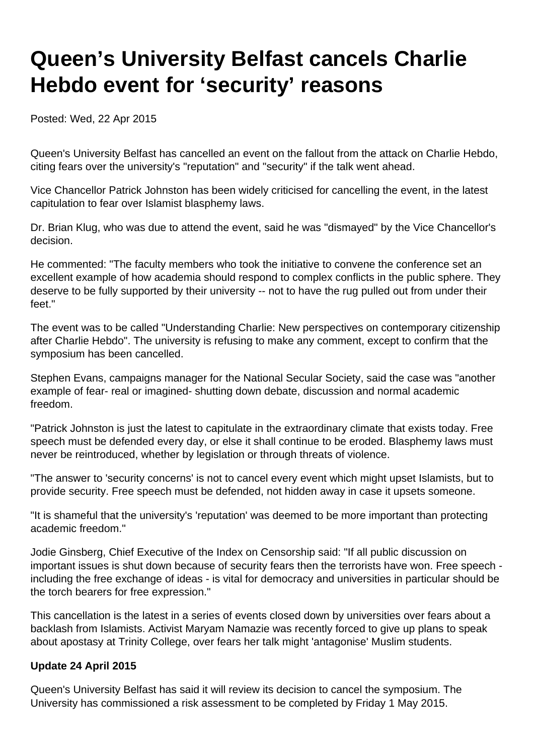# **Queen's University Belfast cancels Charlie Hebdo event for 'security' reasons**

Posted: Wed, 22 Apr 2015

Queen's University Belfast has cancelled an event on the fallout from the attack on Charlie Hebdo, citing fears over the university's "reputation" and "security" if the talk went ahead.

Vice Chancellor Patrick Johnston has been widely criticised for cancelling the event, in the latest capitulation to fear over Islamist blasphemy laws.

Dr. Brian Klug, who was due to attend the event, said he was "dismayed" by the Vice Chancellor's decision.

He commented: "The faculty members who took the initiative to convene the conference set an excellent example of how academia should respond to complex conflicts in the public sphere. They deserve to be fully supported by their university -- not to have the rug pulled out from under their feet."

The event was to be called "Understanding Charlie: New perspectives on contemporary citizenship after Charlie Hebdo". The university is refusing to make any comment, except to confirm that the symposium has been cancelled.

Stephen Evans, campaigns manager for the National Secular Society, said the case was "another example of fear- real or imagined- shutting down debate, discussion and normal academic freedom.

"Patrick Johnston is just the latest to capitulate in the extraordinary climate that exists today. Free speech must be defended every day, or else it shall continue to be eroded. Blasphemy laws must never be reintroduced, whether by legislation or through threats of violence.

"The answer to 'security concerns' is not to cancel every event which might upset Islamists, but to provide security. Free speech must be defended, not hidden away in case it upsets someone.

"It is shameful that the university's 'reputation' was deemed to be more important than protecting academic freedom."

Jodie Ginsberg, Chief Executive of the Index on Censorship said: "If all public discussion on important issues is shut down because of security fears then the terrorists have won. Free speech including the free exchange of ideas - is vital for democracy and universities in particular should be the torch bearers for free expression."

This cancellation is the latest in a series of events closed down by universities over fears about a backlash from Islamists. Activist Maryam Namazie was recently forced to give up plans to speak about apostasy at Trinity College, over fears her talk might 'antagonise' Muslim students.

### **Update 24 April 2015**

Queen's University Belfast has said it will review its decision to cancel the symposium. The University has commissioned a risk assessment to be completed by Friday 1 May 2015.